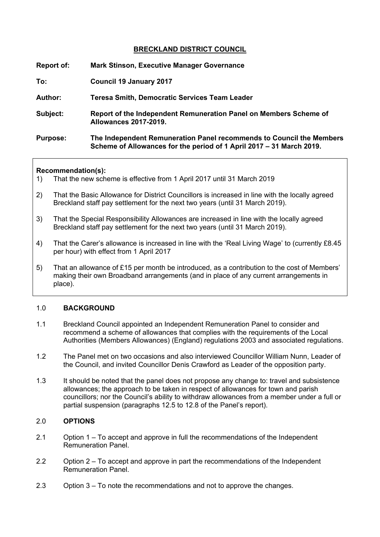#### **BRECKLAND DISTRICT COUNCIL**

| Report of:      | <b>Mark Stinson, Executive Manager Governance</b>                                                                                            |
|-----------------|----------------------------------------------------------------------------------------------------------------------------------------------|
| To:             | <b>Council 19 January 2017</b>                                                                                                               |
| <b>Author:</b>  | <b>Teresa Smith, Democratic Services Team Leader</b>                                                                                         |
| Subject:        | Report of the Independent Remuneration Panel on Members Scheme of<br><b>Allowances 2017-2019.</b>                                            |
| <b>Purpose:</b> | The Independent Remuneration Panel recommends to Council the Members<br>Scheme of Allowances for the period of 1 April 2017 – 31 March 2019. |

#### **Recommendation(s):**

- 1) That the new scheme is effective from 1 April 2017 until 31 March 2019
- 2) That the Basic Allowance for District Councillors is increased in line with the locally agreed Breckland staff pay settlement for the next two years (until 31 March 2019).
- 3) That the Special Responsibility Allowances are increased in line with the locally agreed Breckland staff pay settlement for the next two years (until 31 March 2019).
- 4) That the Carer's allowance is increased in line with the 'Real Living Wage' to (currently £8.45 per hour) with effect from 1 April 2017
- 5) That an allowance of £15 per month be introduced, as a contribution to the cost of Members' making their own Broadband arrangements (and in place of any current arrangements in place).

#### 1.0 **BACKGROUND**

- 1.1 Breckland Council appointed an Independent Remuneration Panel to consider and recommend a scheme of allowances that complies with the requirements of the Local Authorities (Members Allowances) (England) regulations 2003 and associated regulations.
- 1.2 The Panel met on two occasions and also interviewed Councillor William Nunn, Leader of the Council, and invited Councillor Denis Crawford as Leader of the opposition party.
- 1.3 It should be noted that the panel does not propose any change to: travel and subsistence allowances; the approach to be taken in respect of allowances for town and parish councillors; nor the Council's ability to withdraw allowances from a member under a full or partial suspension (paragraphs 12.5 to 12.8 of the Panel's report).

#### 2.0 **OPTIONS**

- 2.1 Option 1 To accept and approve in full the recommendations of the Independent Remuneration Panel.
- 2.2 Option 2 To accept and approve in part the recommendations of the Independent Remuneration Panel.
- 2.3 Option 3 To note the recommendations and not to approve the changes.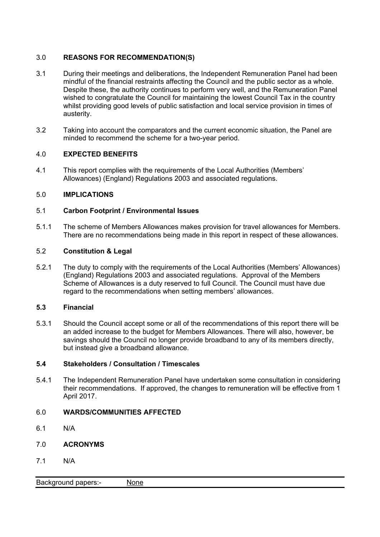## 3.0 **REASONS FOR RECOMMENDATION(S)**

- 3.1 During their meetings and deliberations, the Independent Remuneration Panel had been mindful of the financial restraints affecting the Council and the public sector as a whole. Despite these, the authority continues to perform very well, and the Remuneration Panel wished to congratulate the Council for maintaining the lowest Council Tax in the country whilst providing good levels of public satisfaction and local service provision in times of austerity.
- 3.2 Taking into account the comparators and the current economic situation, the Panel are minded to recommend the scheme for a two-year period.

## 4.0 **EXPECTED BENEFITS**

4.1 This report complies with the requirements of the Local Authorities (Members' Allowances) (England) Regulations 2003 and associated regulations.

# 5.0 **IMPLICATIONS**

## 5.1 **Carbon Footprint / Environmental Issues**

5.1.1 The scheme of Members Allowances makes provision for travel allowances for Members. There are no recommendations being made in this report in respect of these allowances.

## 5.2 **Constitution & Legal**

5.2.1 The duty to comply with the requirements of the Local Authorities (Members' Allowances) (England) Regulations 2003 and associated regulations. Approval of the Members Scheme of Allowances is a duty reserved to full Council. The Council must have due regard to the recommendations when setting members' allowances.

## **5.3 Financial**

5.3.1 Should the Council accept some or all of the recommendations of this report there will be an added increase to the budget for Members Allowances. There will also, however, be savings should the Council no longer provide broadband to any of its members directly, but instead give a broadband allowance.

## **5.4 Stakeholders / Consultation / Timescales**

5.4.1 The Independent Remuneration Panel have undertaken some consultation in considering their recommendations. If approved, the changes to remuneration will be effective from 1 April 2017.

## 6.0 **WARDS/COMMUNITIES AFFECTED**

- 6.1 N/A
- 7.0 **ACRONYMS**
- 7.1 N/A